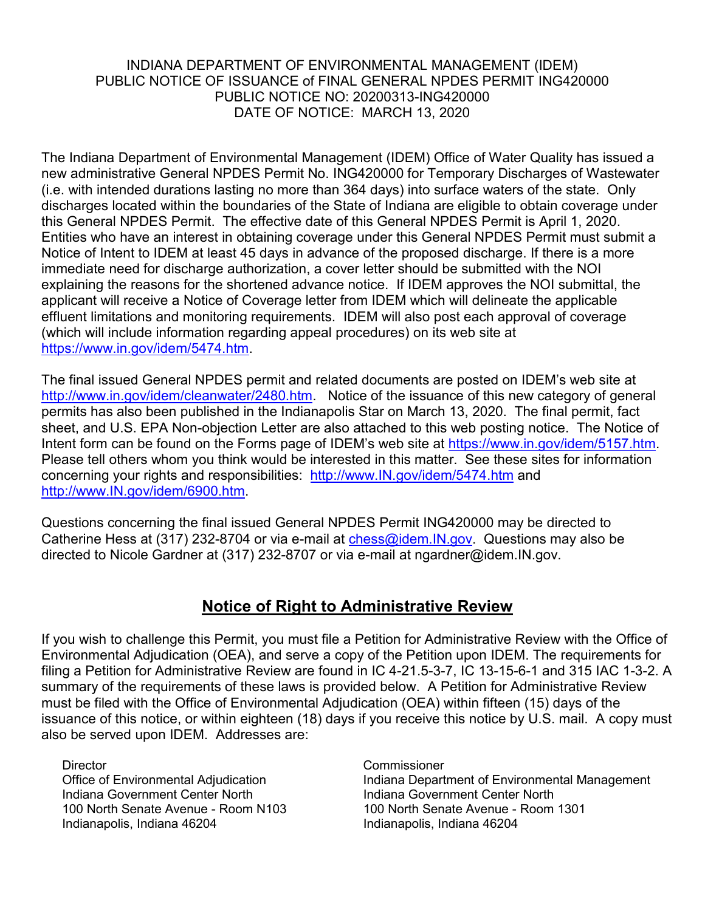## INDIANA DEPARTMENT OF ENVIRONMENTAL MANAGEMENT (IDEM) PUBLIC NOTICE OF ISSUANCE of FINAL GENERAL NPDES PERMIT ING420000 PUBLIC NOTICE NO: 20200313-ING420000 DATE OF NOTICE: MARCH 13, 2020

The Indiana Department of Environmental Management (IDEM) Office of Water Quality has issued a new administrative General NPDES Permit No. ING420000 for Temporary Discharges of Wastewater (i.e. with intended durations lasting no more than 364 days) into surface waters of the state. Only discharges located within the boundaries of the State of Indiana are eligible to obtain coverage under this General NPDES Permit. The effective date of this General NPDES Permit is April 1, 2020. Entities who have an interest in obtaining coverage under this General NPDES Permit must submit a Notice of Intent to IDEM at least 45 days in advance of the proposed discharge. If there is a more immediate need for discharge authorization, a cover letter should be submitted with the NOI explaining the reasons for the shortened advance notice. If IDEM approves the NOI submittal, the applicant will receive a Notice of Coverage letter from IDEM which will delineate the applicable effluent limitations and monitoring requirements. IDEM will also post each approval of coverage (which will include information regarding appeal procedures) on its web site at [https://www.in.gov/idem/5474.htm.](https://www.in.gov/idem/5474.htm)

The final issued General NPDES permit and related documents are posted on IDEM's web site at [http://www.in.gov/idem/cleanwater/2480.htm.](http://www.in.gov/idem/cleanwater/2480.htm) Notice of the issuance of this new category of general permits has also been published in the Indianapolis Star on March 13, 2020. The final permit, fact sheet, and U.S. EPA Non-objection Letter are also attached to this web posting notice. The Notice of Intent form can be found on the Forms page of IDEM's web site at [https://www.in.gov/idem/5157.htm.](https://www.in.gov/idem/5157.htm) Please tell others whom you think would be interested in this matter. See these sites for information concerning your rights and responsibilities: [http://www.IN.gov/idem/5474.htm](http://www.in.gov/idem/5474.htm) and [http://www.IN.gov/idem/6900.htm.](http://www.in.gov/idem/6900.htm)

Questions concerning the final issued General NPDES Permit ING420000 may be directed to Catherine Hess at (317) 232-8704 or via e-mail at chess@idem. IN.gov. Questions may also be directed to Nicole Gardner at (317) 232-8707 or via e-mail at ngardner@idem.IN.gov.

## **Notice of Right to Administrative Review**

If you wish to challenge this Permit, you must file a Petition for Administrative Review with the Office of Environmental Adjudication (OEA), and serve a copy of the Petition upon IDEM. The requirements for filing a Petition for Administrative Review are found in IC 4-21.5-3-7, IC 13-15-6-1 and 315 IAC 1-3-2. A summary of the requirements of these laws is provided below. A Petition for Administrative Review must be filed with the Office of Environmental Adjudication (OEA) within fifteen (15) days of the issuance of this notice, or within eighteen (18) days if you receive this notice by U.S. mail. A copy must also be served upon IDEM. Addresses are:

Director Commissioner Indiana Government Center North Indiana Government Center North 100 North Senate Avenue - Room N103 100 North Senate Avenue - Room 1301 Indianapolis, Indiana 46204 **Indianapolis, Indiana 46204** 

Indiana Department of Environmental Management